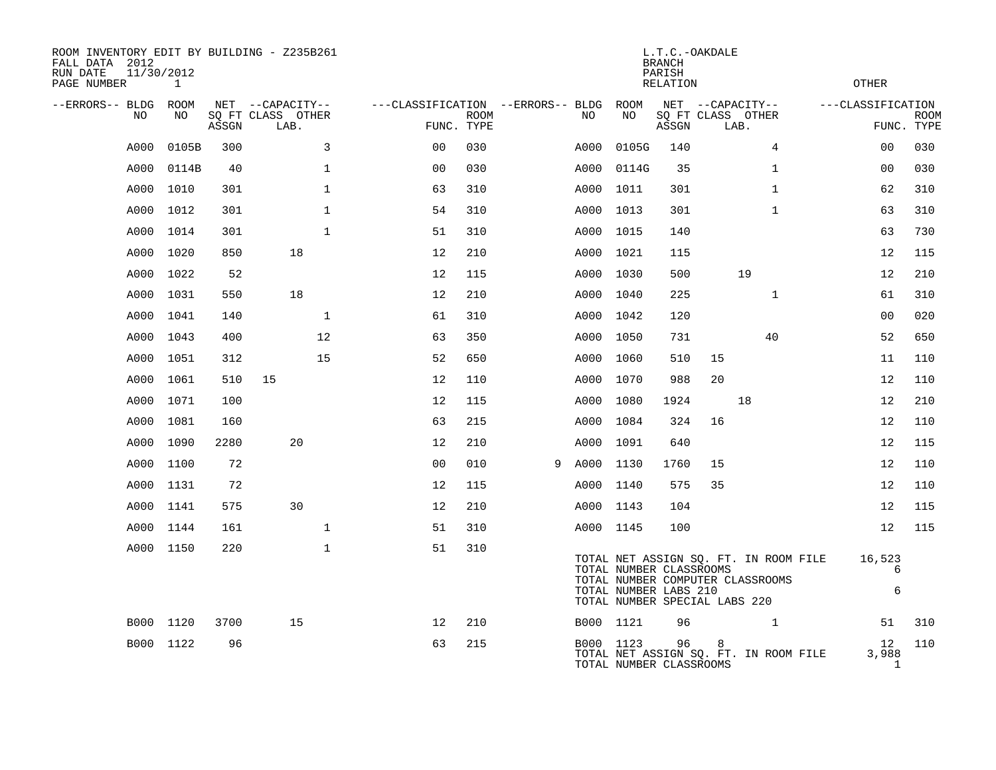| ROOM INVENTORY EDIT BY BUILDING - Z235B261<br>FALL DATA 2012<br>11/30/2012<br>RUN DATE<br>PAGE NUMBER | 1         |       |                                               |                                   |                           |   |      |                                                  | <b>BRANCH</b><br>PARISH<br>RELATION | L.T.C.-OAKDALE                                                    |              |                                       | <b>OTHER</b>                  |                           |
|-------------------------------------------------------------------------------------------------------|-----------|-------|-----------------------------------------------|-----------------------------------|---------------------------|---|------|--------------------------------------------------|-------------------------------------|-------------------------------------------------------------------|--------------|---------------------------------------|-------------------------------|---------------------------|
| --ERRORS-- BLDG ROOM<br>NO                                                                            | NO        | ASSGN | NET --CAPACITY--<br>SQ FT CLASS OTHER<br>LAB. | ---CLASSIFICATION --ERRORS-- BLDG | <b>ROOM</b><br>FUNC. TYPE |   | NO   | ROOM<br>NO                                       | ASSGN                               | NET --CAPACITY--<br>SQ FT CLASS OTHER<br>LAB.                     |              |                                       | ---CLASSIFICATION             | <b>ROOM</b><br>FUNC. TYPE |
| A000                                                                                                  | 0105B     | 300   | 3                                             | 0 <sub>0</sub>                    | 030                       |   | A000 | 0105G                                            | 140                                 |                                                                   | 4            |                                       | 0 <sub>0</sub>                | 030                       |
| A000                                                                                                  | 0114B     | 40    | $\mathbf{1}$                                  | 0 <sub>0</sub>                    | 030                       |   | A000 | 0114G                                            | 35                                  |                                                                   | $\mathbf{1}$ |                                       | 0 <sub>0</sub>                | 030                       |
| A000                                                                                                  | 1010      | 301   | $\mathbf 1$                                   | 63                                | 310                       |   | A000 | 1011                                             | 301                                 |                                                                   | $\mathbf{1}$ |                                       | 62                            | 310                       |
| A000                                                                                                  | 1012      | 301   | $\mathbf{1}$                                  | 54                                | 310                       |   | A000 | 1013                                             | 301                                 |                                                                   | $\mathbf{1}$ |                                       | 63                            | 310                       |
| A000                                                                                                  | 1014      | 301   | $\mathbf{1}$                                  | 51                                | 310                       |   |      | A000 1015                                        | 140                                 |                                                                   |              |                                       | 63                            | 730                       |
| A000                                                                                                  | 1020      | 850   | 18                                            | 12                                | 210                       |   |      | A000 1021                                        | 115                                 |                                                                   |              |                                       | 12                            | 115                       |
| A000                                                                                                  | 1022      | 52    |                                               | 12                                | 115                       |   |      | A000 1030                                        | 500                                 |                                                                   | 19           |                                       | 12                            | 210                       |
| A000                                                                                                  | 1031      | 550   | 18                                            | 12                                | 210                       |   |      | A000 1040                                        | 225                                 |                                                                   | $\mathbf{1}$ |                                       | 61                            | 310                       |
| A000                                                                                                  | 1041      | 140   | $\mathbf 1$                                   | 61                                | 310                       |   |      | A000 1042                                        | 120                                 |                                                                   |              |                                       | 0 <sub>0</sub>                | 020                       |
| A000                                                                                                  | 1043      | 400   | 12                                            | 63                                | 350                       |   |      | A000 1050                                        | 731                                 |                                                                   | 40           |                                       | 52                            | 650                       |
| A000                                                                                                  | 1051      | 312   | 15                                            | 52                                | 650                       |   | A000 | 1060                                             | 510                                 | 15                                                                |              |                                       | 11                            | 110                       |
| A000                                                                                                  | 1061      | 510   | 15                                            | 12                                | 110                       |   | A000 | 1070                                             | 988                                 | 20                                                                |              |                                       | 12                            | 110                       |
| A000                                                                                                  | 1071      | 100   |                                               | 12                                | 115                       |   | A000 | 1080                                             | 1924                                |                                                                   | 18           |                                       | 12                            | 210                       |
| A000                                                                                                  | 1081      | 160   |                                               | 63                                | 215                       |   | A000 | 1084                                             | 324                                 | 16                                                                |              |                                       | 12                            | 110                       |
| A000                                                                                                  | 1090      | 2280  | 20                                            | 12                                | 210                       |   | A000 | 1091                                             | 640                                 |                                                                   |              |                                       | 12                            | 115                       |
| A000                                                                                                  | 1100      | 72    |                                               | 0 <sub>0</sub>                    | 010                       | 9 |      | A000 1130                                        | 1760                                | 15                                                                |              |                                       | 12                            | 110                       |
| A000                                                                                                  | 1131      | 72    |                                               | 12                                | 115                       |   |      | A000 1140                                        | 575                                 | 35                                                                |              |                                       | 12                            | 110                       |
| A000                                                                                                  | 1141      | 575   | 30                                            | 12                                | 210                       |   |      | A000 1143                                        | 104                                 |                                                                   |              |                                       | 12                            | 115                       |
| A000                                                                                                  | 1144      | 161   | $\mathbf{1}$                                  | 51                                | 310                       |   |      | A000 1145                                        | 100                                 |                                                                   |              |                                       | 12                            | 115                       |
|                                                                                                       | A000 1150 | 220   | $\mathbf{1}$                                  | 51                                | 310                       |   |      | TOTAL NUMBER CLASSROOMS<br>TOTAL NUMBER LABS 210 |                                     | TOTAL NUMBER COMPUTER CLASSROOMS<br>TOTAL NUMBER SPECIAL LABS 220 |              | TOTAL NET ASSIGN SQ. FT. IN ROOM FILE | 16,523<br>6<br>6              |                           |
|                                                                                                       | B000 1120 | 3700  | 15                                            | 12                                | 210                       |   |      | B000 1121                                        | 96                                  |                                                                   | $\mathbf{1}$ |                                       | 51                            | 310                       |
|                                                                                                       | B000 1122 | 96    |                                               | 63                                | 215                       |   |      | B000 1123<br>TOTAL NUMBER CLASSROOMS             | 96                                  | 8                                                                 |              | TOTAL NET ASSIGN SQ. FT. IN ROOM FILE | 12 <sup>°</sup><br>3,988<br>1 | 110                       |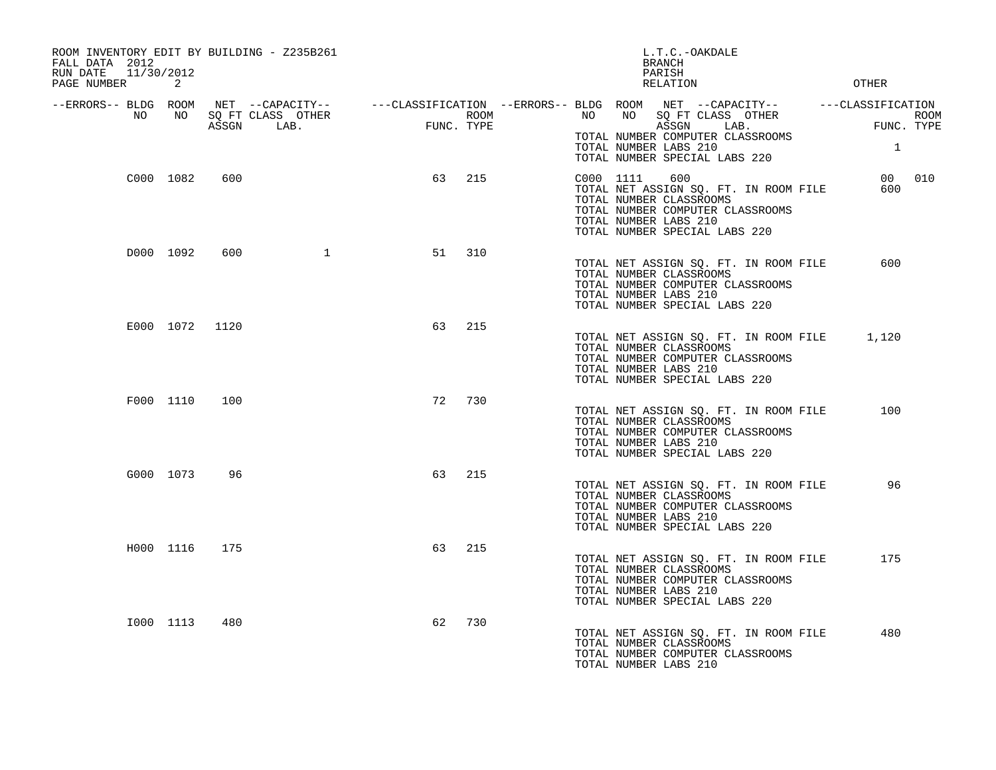| ROOM INVENTORY EDIT BY BUILDING - Z235B261<br>FALL DATA 2012<br>RUN DATE<br>11/30/2012<br>PAGE NUMBER | 2         |                |                                 |      |            | L.T.C.-OAKDALE<br>BRANCH<br>PARISH<br>RELATION<br><b>OTHER</b>                                                                                                                                                                                                                                                                                                                                                                                                                    |      |
|-------------------------------------------------------------------------------------------------------|-----------|----------------|---------------------------------|------|------------|-----------------------------------------------------------------------------------------------------------------------------------------------------------------------------------------------------------------------------------------------------------------------------------------------------------------------------------------------------------------------------------------------------------------------------------------------------------------------------------|------|
| --ERRORS-- BLDG ROOM<br>NO                                                                            | NO        |                | SO FT CLASS OTHER<br>ASSGN LAB. | FUNC | FUNC. TYPE | $\begin{array}{cccccccccccccc} \texttt{NET} & --\texttt{CAPACITY} & & & & & --\texttt{CLASSIFICATION} & --\texttt{ERRORS} & - & \texttt{BLDG} & \texttt{ROOM} & \texttt{NET} & --\texttt{CAPACITY} & & & & ---\texttt{CLASSIFICATION} \end{array}$<br>NO<br>NO<br>SQ FT CLASS OTHER<br>ROOM <b>ROOM</b><br>and a complete the complete state of<br>ASSGN<br>FUNC. TYPE<br>LAB.<br>TOTAL NUMBER COMPUTER CLASSROOMS<br>TOTAL NUMBER LABS 210<br>1<br>TOTAL NUMBER SPECIAL LABS 220 | ROOM |
|                                                                                                       | C000 1082 | 600            |                                 | 63   | 215        | 00 010<br>C000 1111<br>600<br>TOTAL NET ASSIGN SQ. FT. IN ROOM FILE<br>600<br>TOTAL NUMBER CLASSROOMS<br>TOTAL NUMBER COMPUTER CLASSROOMS<br>TOTAL NUMBER LABS 210<br>TOTAL NUMBER SPECIAL LABS 220                                                                                                                                                                                                                                                                               |      |
|                                                                                                       | D000 1092 | 600            | $\mathbf 1$                     | 51   | 310        | 600<br>TOTAL NET ASSIGN SQ. FT. IN ROOM FILE<br>TOTAL NUMBER CLASSROOMS<br>TOTAL NUMBER COMPUTER CLASSROOMS<br>TOTAL NUMBER LABS 210<br>TOTAL NUMBER SPECIAL LABS 220                                                                                                                                                                                                                                                                                                             |      |
|                                                                                                       |           | E000 1072 1120 |                                 | 63   | 215        | TOTAL NET ASSIGN SQ. FT. IN ROOM FILE<br>1,120<br>TOTAL NUMBER CLASSROOMS<br>TOTAL NUMBER COMPUTER CLASSROOMS<br>TOTAL NUMBER LABS 210<br>TOTAL NUMBER SPECIAL LABS 220                                                                                                                                                                                                                                                                                                           |      |
|                                                                                                       | F000 1110 | 100            |                                 | 72   | 730        | 100<br>TOTAL NET ASSIGN SQ. FT. IN ROOM FILE<br>TOTAL NUMBER CLASSROOMS<br>TOTAL NUMBER COMPUTER CLASSROOMS<br>TOTAL NUMBER LABS 210<br>TOTAL NUMBER SPECIAL LABS 220                                                                                                                                                                                                                                                                                                             |      |
|                                                                                                       | G000 1073 | 96             |                                 | 63   | 215        | 96<br>TOTAL NET ASSIGN SQ. FT. IN ROOM FILE<br>TOTAL NUMBER CLASSROOMS<br>TOTAL NUMBER COMPUTER CLASSROOMS<br>TOTAL NUMBER LABS 210<br>TOTAL NUMBER SPECIAL LABS 220                                                                                                                                                                                                                                                                                                              |      |
|                                                                                                       | H000 1116 | 175            |                                 | 63   | 215        | TOTAL NET ASSIGN SQ. FT. IN ROOM FILE<br>175<br>TOTAL NUMBER CLASSROOMS<br>TOTAL NUMBER COMPUTER CLASSROOMS<br>TOTAL NUMBER LABS 210<br>TOTAL NUMBER SPECIAL LABS 220                                                                                                                                                                                                                                                                                                             |      |
|                                                                                                       | I000 1113 | 480            |                                 | 62   | 730        | 480<br>TOTAL NET ASSIGN SQ. FT. IN ROOM FILE<br>TOTAL NUMBER CLASSROOMS<br>TOTAL NUMBER COMPUTER CLASSROOMS<br>TOTAL NUMBER LABS 210                                                                                                                                                                                                                                                                                                                                              |      |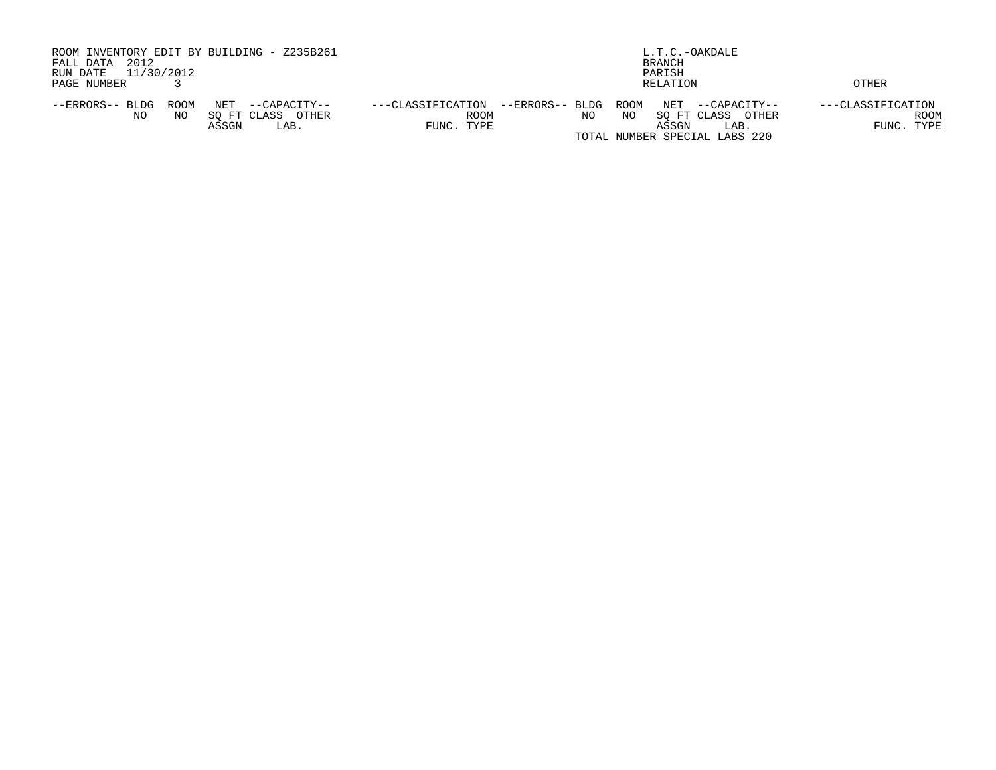| ROOM INVENTORY EDIT BY BUILDING - Z235B261<br>2012<br>FALL DATA<br>11/30/2012<br>RUN DATE            | L.T.C.-OAKDALE<br>BRANCH                                                                                                                                                            |                                         |  |  |  |  |  |  |  |
|------------------------------------------------------------------------------------------------------|-------------------------------------------------------------------------------------------------------------------------------------------------------------------------------------|-----------------------------------------|--|--|--|--|--|--|--|
| PAGE NUMBER                                                                                          | PARISH<br>RELATION                                                                                                                                                                  | OTHER                                   |  |  |  |  |  |  |  |
| ROOM<br>NET<br>--ERRORS-- BLDG<br>--CAPACITY--<br>SO FT CLASS<br>NO.<br>OTHER<br>NO<br>ASSGN<br>LAB. | --ERRORS-- BLDG ROOM<br>NET<br>---CLASSIFICATION<br>--CAPACITY--<br><b>ROOM</b><br>NO<br>SO FT CLASS<br>ΝO<br>OTHER<br>FUNC. TYPE<br>ASSGN<br>LAB.<br>TOTAL NUMBER SPECIAL LABS 220 | ---CLASSIFICATION<br>ROOM<br>FUNC. TYPE |  |  |  |  |  |  |  |